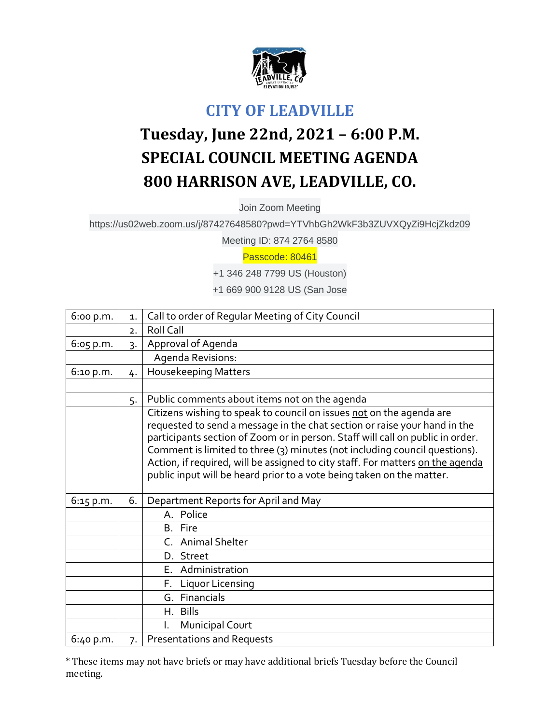

## **CITY OF LEADVILLE**

## **Tuesday, June 22nd, 2021 – 6:00 P.M. SPECIAL COUNCIL MEETING AGENDA 800 HARRISON AVE, LEADVILLE, CO.**

Join Zoom Meeting

https://us02web.zoom.us/j/87427648580?pwd=YTVhbGh2WkF3b3ZUVXQyZi9HcjZkdz09

Meeting ID: 874 2764 8580

## Passcode: 80461

+1 346 248 7799 US (Houston)

+1 669 900 9128 US (San Jose

| 6:00 p.m. | $\mathbf{1}$ .   | Call to order of Regular Meeting of City Council                                                                                                                                                                                                                                                                                                                                                                                                                             |
|-----------|------------------|------------------------------------------------------------------------------------------------------------------------------------------------------------------------------------------------------------------------------------------------------------------------------------------------------------------------------------------------------------------------------------------------------------------------------------------------------------------------------|
|           | $\overline{2}$ . | <b>Roll Call</b>                                                                                                                                                                                                                                                                                                                                                                                                                                                             |
| 6:05 p.m. | 3.               | Approval of Agenda                                                                                                                                                                                                                                                                                                                                                                                                                                                           |
|           |                  | Agenda Revisions:                                                                                                                                                                                                                                                                                                                                                                                                                                                            |
| 6:10 p.m. | 4.               | <b>Housekeeping Matters</b>                                                                                                                                                                                                                                                                                                                                                                                                                                                  |
|           |                  |                                                                                                                                                                                                                                                                                                                                                                                                                                                                              |
|           | 5.               | Public comments about items not on the agenda                                                                                                                                                                                                                                                                                                                                                                                                                                |
|           |                  | Citizens wishing to speak to council on issues not on the agenda are<br>requested to send a message in the chat section or raise your hand in the<br>participants section of Zoom or in person. Staff will call on public in order.<br>Comment is limited to three (3) minutes (not including council questions).<br>Action, if required, will be assigned to city staff. For matters on the agenda<br>public input will be heard prior to a vote being taken on the matter. |
| 6:15 p.m. | 6.               | Department Reports for April and May                                                                                                                                                                                                                                                                                                                                                                                                                                         |
|           |                  | A. Police                                                                                                                                                                                                                                                                                                                                                                                                                                                                    |
|           |                  | B. Fire                                                                                                                                                                                                                                                                                                                                                                                                                                                                      |
|           |                  | C. Animal Shelter                                                                                                                                                                                                                                                                                                                                                                                                                                                            |
|           |                  | D. Street                                                                                                                                                                                                                                                                                                                                                                                                                                                                    |
|           |                  | E. Administration                                                                                                                                                                                                                                                                                                                                                                                                                                                            |
|           |                  | <b>Liquor Licensing</b><br>Е.                                                                                                                                                                                                                                                                                                                                                                                                                                                |
|           |                  | G. Financials                                                                                                                                                                                                                                                                                                                                                                                                                                                                |
|           |                  | H. Bills                                                                                                                                                                                                                                                                                                                                                                                                                                                                     |
|           |                  | <b>Municipal Court</b><br>L.                                                                                                                                                                                                                                                                                                                                                                                                                                                 |
| 6:40 p.m. | 7.               | <b>Presentations and Requests</b>                                                                                                                                                                                                                                                                                                                                                                                                                                            |

\* These items may not have briefs or may have additional briefs Tuesday before the Council meeting.